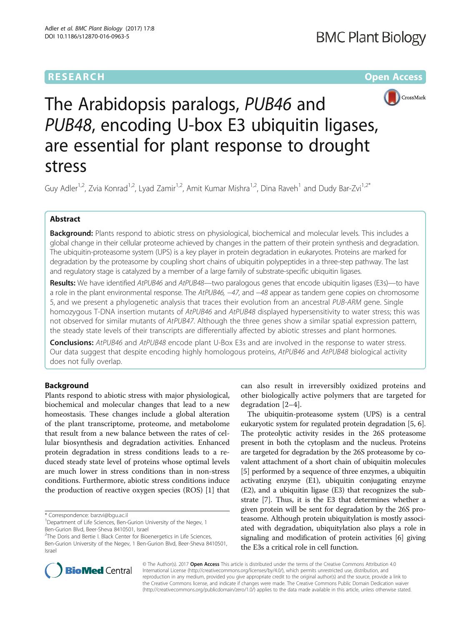# **RESEARCH CHE Open Access**



The Arabidopsis paralogs, PUB46 and PUB48, encoding U-box E3 ubiquitin ligases, are essential for plant response to drought stress

Guy Adler<sup>1,2</sup>, Zvia Konrad<sup>1,2</sup>, Lyad Zamir<sup>1,2</sup>, Amit Kumar Mishra<sup>1,2</sup>, Dina Raveh<sup>1</sup> and Dudy Bar-Zvi<sup>1,2\*</sup>

# Abstract

Background: Plants respond to abiotic stress on physiological, biochemical and molecular levels. This includes a global change in their cellular proteome achieved by changes in the pattern of their protein synthesis and degradation. The ubiquitin-proteasome system (UPS) is a key player in protein degradation in eukaryotes. Proteins are marked for degradation by the proteasome by coupling short chains of ubiquitin polypeptides in a three-step pathway. The last and regulatory stage is catalyzed by a member of a large family of substrate-specific ubiquitin ligases.

Results: We have identified AtPUB46 and AtPUB48—two paralogous genes that encode ubiquitin ligases (E3s)—to have a role in the plant environmental response. The AtPUB46, -47, and -48 appear as tandem gene copies on chromosome 5, and we present a phylogenetic analysis that traces their evolution from an ancestral PUB-ARM gene. Single homozygous T-DNA insertion mutants of AtPUB46 and AtPUB48 displayed hypersensitivity to water stress; this was not observed for similar mutants of AtPUB47. Although the three genes show a similar spatial expression pattern, the steady state levels of their transcripts are differentially affected by abiotic stresses and plant hormones.

**Conclusions:** AtPUB46 and AtPUB48 encode plant U-Box E3s and are involved in the response to water stress. Our data suggest that despite encoding highly homologous proteins, AtPUB46 and AtPUB48 biological activity does not fully overlap.

### Background

Plants respond to abiotic stress with major physiological, biochemical and molecular changes that lead to a new homeostasis. These changes include a global alteration of the plant transcriptome, proteome, and metabolome that result from a new balance between the rates of cellular biosynthesis and degradation activities. Enhanced protein degradation in stress conditions leads to a reduced steady state level of proteins whose optimal levels are much lower in stress conditions than in non-stress conditions. Furthermore, abiotic stress conditions induce the production of reactive oxygen species (ROS) [\[1\]](#page-10-0) that

\* Correspondence: [barzvi@bgu.ac.il](mailto:barzvi@bgu.ac.il)

<sup>2</sup>The Doris and Bertie I. Black Center for Bioenergetics in Life Sciences, Ben-Gurion University of the Negev, 1 Ben-Gurion Blvd, Beer-Sheva 8410501, Israel

can also result in irreversibly oxidized proteins and other biologically active polymers that are targeted for degradation [\[2](#page-10-0)–[4](#page-10-0)].

The ubiquitin-proteasome system (UPS) is a central eukaryotic system for regulated protein degradation [[5, 6](#page-10-0)]. The proteolytic activity resides in the 26S proteasome present in both the cytoplasm and the nucleus. Proteins are targeted for degradation by the 26S proteasome by covalent attachment of a short chain of ubiquitin molecules [[5\]](#page-10-0) performed by a sequence of three enzymes, a ubiquitin activating enzyme (E1), ubiquitin conjugating enzyme (E2), and a ubiquitin ligase (E3) that recognizes the substrate [\[7](#page-10-0)]. Thus, it is the E3 that determines whether a given protein will be sent for degradation by the 26S proteasome. Although protein ubiquitylation is mostly associated with degradation, ubiquitylation also plays a role in signaling and modification of protein activities [[6\]](#page-10-0) giving the E3s a critical role in cell function.



© The Author(s). 2017 Open Access This article is distributed under the terms of the Creative Commons Attribution 4.0 International License [\(http://creativecommons.org/licenses/by/4.0/](http://creativecommons.org/licenses/by/4.0/)), which permits unrestricted use, distribution, and reproduction in any medium, provided you give appropriate credit to the original author(s) and the source, provide a link to the Creative Commons license, and indicate if changes were made. The Creative Commons Public Domain Dedication waiver [\(http://creativecommons.org/publicdomain/zero/1.0/](http://creativecommons.org/publicdomain/zero/1.0/)) applies to the data made available in this article, unless otherwise stated.

<sup>&</sup>lt;sup>1</sup>Department of Life Sciences, Ben-Gurion University of the Negev, 1 Ben-Gurion Blvd, Beer-Sheva 8410501, Israel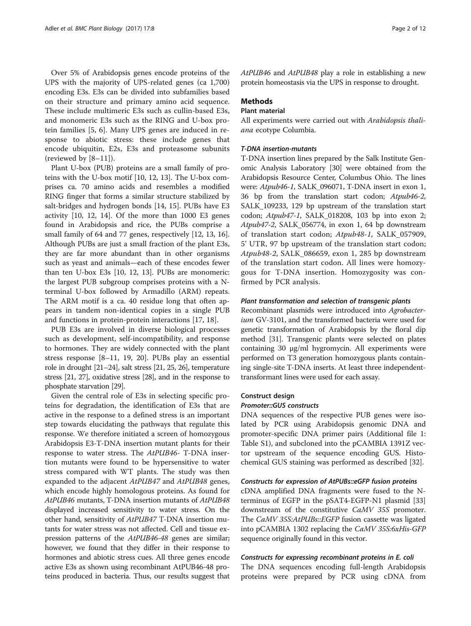Over 5% of Arabidopsis genes encode proteins of the UPS with the majority of UPS-related genes (ca 1,700) encoding E3s. E3s can be divided into subfamilies based on their structure and primary amino acid sequence. These include multimeric E3s such as cullin-based E3s, and monomeric E3s such as the RING and U-box protein families [[5, 6](#page-10-0)]. Many UPS genes are induced in response to abiotic stress: these include genes that encode ubiquitin, E2s, E3s and proteasome subunits (reviewed by [[8](#page-10-0)–[11\]](#page-10-0)).

Plant U-box (PUB) proteins are a small family of proteins with the U-box motif [[10, 12, 13\]](#page-10-0). The U-box comprises ca. 70 amino acids and resembles a modified RING finger that forms a similar structure stabilized by salt-bridges and hydrogen bonds [\[14](#page-10-0), [15\]](#page-10-0). PUBs have E3 activity [[10](#page-10-0), [12](#page-10-0), [14\]](#page-10-0). Of the more than 1000 E3 genes found in Arabidopsis and rice, the PUBs comprise a small family of 64 and 77 genes, respectively [\[12](#page-10-0), [13](#page-10-0), [16](#page-10-0)]. Although PUBs are just a small fraction of the plant E3s, they are far more abundant than in other organisms such as yeast and animals—each of these encodes fewer than ten U-box E3s [\[10](#page-10-0), [12](#page-10-0), [13](#page-10-0)]. PUBs are monomeric: the largest PUB subgroup comprises proteins with a Nterminal U-box followed by Armadillo (ARM) repeats. The ARM motif is a ca. 40 residue long that often appears in tandem non-identical copies in a single PUB and functions in protein-protein interactions [\[17](#page-10-0), [18](#page-10-0)].

PUB E3s are involved in diverse biological processes such as development, self-incompatibility, and response to hormones. They are widely connected with the plant stress response [\[8](#page-10-0)–[11, 19, 20](#page-10-0)]. PUBs play an essential role in drought [[21](#page-10-0)–[24](#page-10-0)], salt stress [\[21, 25, 26\]](#page-10-0), temperature stress [\[21, 27\]](#page-10-0), oxidative stress [\[28](#page-10-0)], and in the response to phosphate starvation [\[29](#page-10-0)].

Given the central role of E3s in selecting specific proteins for degradation, the identification of E3s that are active in the response to a defined stress is an important step towards elucidating the pathways that regulate this response. We therefore initiated a screen of homozygous Arabidopsis E3-T-DNA insertion mutant plants for their response to water stress. The *AtPUB46*- T-DNA insertion mutants were found to be hypersensitive to water stress compared with WT plants. The study was then expanded to the adjacent *AtPUB47* and *AtPUB48* genes, which encode highly homologous proteins. As found for *AtPUB46* mutants, T-DNA insertion mutants of *AtPUB48* displayed increased sensitivity to water stress. On the other hand, sensitivity of *AtPUB47* T-DNA insertion mutants for water stress was not affected. Cell and tissue expression patterns of the *AtPUB46-48* genes are similar; however, we found that they differ in their response to hormones and abiotic stress cues. All three genes encode active E3s as shown using recombinant AtPUB46-48 proteins produced in bacteria. Thus, our results suggest that *AtPUB46* and *AtPUB48* play a role in establishing a new protein homeostasis via the UPS in response to drought.

### Methods

### Plant material

All experiments were carried out with *Arabidopsis thaliana* ecotype Columbia.

### *T-DNA insertion-mutants*

T-DNA insertion lines prepared by the Salk Institute Genomic Analysis Laboratory [[30\]](#page-10-0) were obtained from the Arabidopsis Resource Center, Columbus Ohio. The lines were: *Atpub46-1*, SALK\_096071, T-DNA insert in exon 1, 36 bp from the translation start codon; *Atpub46-2*, SALK\_109233, 129 bp upstream of the translation start codon; *Atpub47-1*, SALK\_018208, 103 bp into exon 2; *Atpub47-2*, SALK\_056774, in exon 1, 64 bp downstream of translation start codon; *Atpub48-1*, SALK\_057909, 5' UTR, 97 bp upstream of the translation start codon; *Atpub48-2*, SALK\_086659, exon 1, 285 bp downstream of the translation start codon. All lines were homozygous for T-DNA insertion. Homozygosity was confirmed by PCR analysis.

### *Plant transformation and selection of transgenic plants*

Recombinant plasmids were introduced into *Agrobacterium* GV-3101, and the transformed bacteria were used for genetic transformation of Arabidopsis by the floral dip method [\[31](#page-10-0)]. Transgenic plants were selected on plates containing 30 μg/ml hygromycin. All experiments were performed on T3 generation homozygous plants containing single-site T-DNA inserts. At least three independenttransformant lines were used for each assay.

#### Construct design

### *Promoter::GUS constructs*

DNA sequences of the respective PUB genes were isolated by PCR using Arabidopsis genomic DNA and promoter-specific DNA primer pairs (Additional file [1](#page-10-0): Table S1), and subcloned into the pCAMBIA 1391Z vector upstream of the sequence encoding GUS. Histochemical GUS staining was performed as described [[32\]](#page-10-0).

### *Constructs for expression of AtPUBs::eGFP fusion proteins*

cDNA amplified DNA fragments were fused to the Nterminus of EGFP in the pSAT4-EGFP-N1 plasmid [[33](#page-11-0)] downstream of the constitutive *CaMV 35S* promoter. The *CaMV 35S:AtPUBs::EGFP* fusion cassette was ligated into pCAMBIA 1302 replacing the *CaMV 35S:6xHis-GFP* sequence originally found in this vector.

### *Constructs for expressing recombinant proteins in E. coli*

The DNA sequences encoding full-length Arabidopsis proteins were prepared by PCR using cDNA from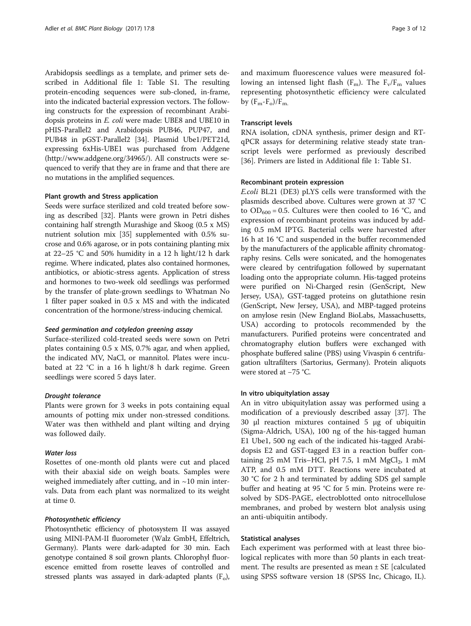Arabidopsis seedlings as a template, and primer sets described in Additional file [1](#page-10-0): Table S1. The resulting protein-encoding sequences were sub-cloned, in-frame, into the indicated bacterial expression vectors. The following constructs for the expression of recombinant Arabidopsis proteins in *E. coli* were made: UBE8 and UBE10 in pHIS-Parallel2 and Arabidopsis PUB46, PUP47, and PUB48 in pGST-Parallel2 [[34](#page-11-0)]. Plasmid Ube1/PET21d, expressing 6xHis-UBE1 was purchased from Addgene (<http://www.addgene.org/34965/>). All constructs were sequenced to verify that they are in frame and that there are no mutations in the amplified sequences.

### Plant growth and Stress application

Seeds were surface sterilized and cold treated before sowing as described [[32](#page-10-0)]. Plants were grown in Petri dishes containing half strength Murashige and Skoog (0.5 x MS) nutrient solution mix [\[35\]](#page-11-0) supplemented with 0.5% sucrose and 0.6% agarose, or in pots containing planting mix at 22–25 °C and 50% humidity in a 12 h light/12 h dark regime. Where indicated, plates also contained hormones, antibiotics, or abiotic-stress agents. Application of stress and hormones to two-week old seedlings was performed by the transfer of plate-grown seedlings to Whatman No 1 filter paper soaked in 0.5 x MS and with the indicated concentration of the hormone/stress-inducing chemical.

#### *Seed germination and cotyledon greening assay*

Surface-sterilized cold-treated seeds were sown on Petri plates containing 0.5 x MS, 0.7% agar, and when applied, the indicated MV, NaCl, or mannitol. Plates were incubated at 22 °C in a 16 h light/8 h dark regime. Green seedlings were scored 5 days later.

### *Drought tolerance*

Plants were grown for 3 weeks in pots containing equal amounts of potting mix under non-stressed conditions. Water was then withheld and plant wilting and drying was followed daily.

### *Water loss*

Rosettes of one-month old plants were cut and placed with their abaxial side on weigh boats. Samples were weighed immediately after cutting, and in  $\sim$ 10 min intervals. Data from each plant was normalized to its weight at time 0.

### *Photosynthetic efficiency*

Photosynthetic efficiency of photosystem II was assayed using MINI-PAM-II fluorometer (Walz GmbH, Effeltrich, Germany). Plants were dark-adapted for 30 min. Each genotype contained 8 soil grown plants. Chlorophyl fluorescence emitted from rosette leaves of controlled and stressed plants was assayed in dark-adapted plants  $(F_0)$ ,

and maximum fluorescence values were measured following an intensed light flash  $(F_m)$ . The  $F_v/F_m$  values representing photosynthetic efficiency were calculated by  $(F_m-F_o)/F_m$ .

#### Transcript levels

RNA isolation, cDNA synthesis, primer design and RTqPCR assays for determining relative steady state transcript levels were performed as previously described [[36\]](#page-11-0). Primers are listed in Additional file [1:](#page-10-0) Table S1.

### Recombinant protein expression

*E.coli* BL21 (DE3) pLYS cells were transformed with the plasmids described above. Cultures were grown at 37 °C to  $OD_{600} = 0.5$ . Cultures were then cooled to 16 °C, and expression of recombinant proteins was induced by adding 0.5 mM IPTG. Bacterial cells were harvested after 16 h at 16 °C and suspended in the buffer recommended by the manufacturers of the applicable affinity chromatography resins. Cells were sonicated, and the homogenates were cleared by centrifugation followed by supernatant loading onto the appropriate column. His-tagged proteins were purified on Ni-Charged resin (GenScript, New Jersey, USA), GST-tagged proteins on glutathione resin (GenScript, New Jersey, USA), and MBP-tagged proteins on amylose resin (New England BioLabs, Massachusetts, USA) according to protocols recommended by the manufacturers. Purified proteins were concentrated and chromatography elution buffers were exchanged with phosphate buffered saline (PBS) using Vivaspin 6 centrifugation ultrafilters (Sartorius, Germany). Protein aliquots were stored at −75 °C.

### In vitro ubiquitylation assay

An in vitro ubiquitylation assay was performed using a modification of a previously described assay [\[37](#page-11-0)]. The 30 μl reaction mixtures contained 5 μg of ubiquitin (Sigma-Aldrich, USA), 100 ng of the his-tagged human E1 Ube1, 500 ng each of the indicated his-tagged Arabidopsis E2 and GST-tagged E3 in a reaction buffer containing  $25 \text{ mM Tris-HCl, pH } 7.5$ , 1 mM  $MgCl_2$ , 1 mM ATP, and 0.5 mM DTT. Reactions were incubated at 30 °C for 2 h and terminated by adding SDS gel sample buffer and heating at 95 °C for 5 min. Proteins were resolved by SDS-PAGE, electroblotted onto nitrocellulose membranes, and probed by western blot analysis using an anti-ubiquitin antibody.

### Statistical analyses

Each experiment was performed with at least three biological replicates with more than 50 plants in each treatment. The results are presented as mean  $\pm$  SE [calculated using SPSS software version 18 (SPSS Inc, Chicago, IL).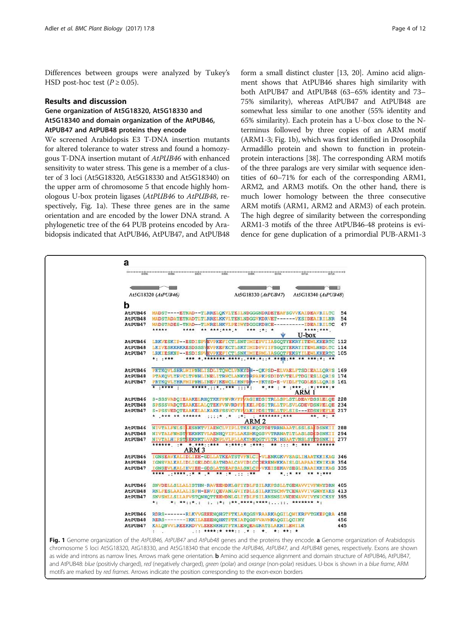<span id="page-3-0"></span>Differences between groups were analyzed by Tukey's HSD post-hoc test  $(P \ge 0.05)$ .

### Results and discussion

# Gene organization of At5G18320, At5G18330 and At5G18340 and domain organization of the AtPUB46, AtPUB47 and AtPUB48 proteins they encode

We screened Arabidopsis E3 T-DNA insertion mutants for altered tolerance to water stress and found a homozygous T-DNA insertion mutant of *AtPUB46* with enhanced sensitivity to water stress. This gene is a member of a cluster of 3 loci (At5G18320, At5G18330 and At5G18340) on the upper arm of chromosome 5 that encode highly homologous U-box protein ligases (*AtPUB46* to *AtPUB48*, respectively, Fig. 1a). These three genes are in the same orientation and are encoded by the lower DNA strand. A phylogenetic tree of the 64 PUB proteins encoded by Arabidopsis indicated that AtPUB46, AtPUB47, and AtPUB48 form a small distinct cluster [\[13, 20\]](#page-10-0). Amino acid alignment shows that AtPUB46 shares high similarity with both AtPUB47 and AtPUB48 (63–65% identity and 73– 75% similarity), whereas AtPUB47 and AtPUB48 are somewhat less similar to one another (55% identity and 65% similarity). Each protein has a U-box close to the Nterminus followed by three copies of an ARM motif (ARM1-3; Fig. 1b), which was first identified in Drosophila Armadillo protein and shown to function in proteinprotein interactions [\[38\]](#page-11-0). The corresponding ARM motifs of the three paralogs are very similar with sequence identities of 60–71% for each of the corresponding ARM1, ARM2, and ARM3 motifs. On the other hand, there is much lower homology between the three consecutive ARM motifs (ARM1, ARM2 and ARM3) of each protein. The high degree of similarity between the corresponding ARM1-3 motifs of the three AtPUB46-48 proteins is evidence for gene duplication of a primordial PUB-ARM1-3

| $\sim$ $\sim$ | $\sim$                                                                                    |  |
|---------------|-------------------------------------------------------------------------------------------|--|
|               | At5G18320 (AtPUB46)<br>At5G18330 (AtPUB47)<br>At5G18340 (AtPUB48)                         |  |
| b             |                                                                                           |  |
| AtPUB46       | MADST----ETNAD--TLRRELQKVLTEILNDGGGNDRDETEAFSGVVKAIDEAVRILTC 54                           |  |
| AtPUB48       | MADSTADATETNADTLTLRRELKKVLTENLNDGGVKDRVET------VKSIDEAIRILNR 54                           |  |
|               | AtPUB47 MADSTADES-TNAD--TLWRELHKVLPEIWYDGGGKDHCE-----------IDEAIRILTC 47                  |  |
|               | *****<br>**** ** *** *** * *** ** *<br>****:***                                           |  |
|               | $U$ -box                                                                                  |  |
|               | AtPUB46 LRKVESKIP--ESDISPVEVPKEFICTLSNTIMIEPVIIASGOTYEKRYITEWLKHERTC 112                  |  |
|               | AtPUB48 LKIVESKKRKRESDSSSVEVPKEFKCTLSKTIMIDPVIIFSGOTYEKRYITEWLNHDLTC 114                  |  |
|               | AtPUB47 LRKIESKNP--ESDISPVEVPKEFICTLSNKIMIEPMLIASGOTFEKSYILEWLKHERTC 105<br>$* + + * * *$ |  |
|               |                                                                                           |  |
| AtPUB46       | PKTKOVLSHRLWIPNHLISDLITOWCLVNKYDH--OKPSD-ELVAELFTSDIEALLORVS 169                          |  |
| AtPUB48       | PTAKOVLYRVCLTPNHLINELITRWCLANKYDRPAPKPSDIDYVTELFTDGIESLLORIS 174                          |  |
|               | AtPUB47 PRTKOVLYHRFMIPNHLINEVIKEWCLIHNFDR--PKTSD-E-VIDLFTGDLESLLORIS 161                  |  |
|               | * ***** *<br>ARM <sub>1</sub>                                                             |  |
|               | AtPUB46 S-SSSVADOIEAAKELRHOTKKFFNVRVFFVAGIHDSITRLLSPLSTLDEAVDSSLELOE 228                  |  |
|               | AtPUB48 SPSSSVADOTEAAKELALOTEKFVNVRDFFLKELPDSITRLLTPLSVLGDEVDSNPELOE 234                  |  |
|               | AtPUB47 S-PSSVEDOTEAAKELALKAKRFSSVCVYFVAKIPDSITRLLTPLSIS---EDSNPEFLE 217                  |  |
|               | * *** ** ****** ::::* * :*: : *******:***<br>** * *                                       |  |
|               | ARM 2                                                                                     |  |
| AtPUB46       | NIVTALFNLSILESNKTVIAENCLVIPLLTKSLKOGTDETRRNAAATLSSLSAIDSNKII 288                          |  |
| AtPUB48       | NIVTALFNMSTFEKNKTVLAENHQVIPLLAKSMKQGSVVTRRNATLTLASLSDIDSNKII 294                          |  |
| AtPUB47       | NIVTALHIFSTSEKNKTLVAENPLVLPLLAKYMKQGTVLTRIHSAATVNSLSYFDSNKII 277                          |  |
|               | ARM <sub>3</sub>                                                                          |  |
| AtPUB46       | IGNSEAVKALIDLIEE-GDLLATKEATSTVFNLCI-VLENKGKVVSAGLIHAATKKIKAG 346                          |  |
| AtPUB48       | IGNSVALKALIDLIGELDDLSATHDALCAVIDLCCDERENWKKAISLGLAPAAIKNIKAR 354                          |  |
| AtPUB47       | IGNSEVLKALIHVIEE-GDSLATSEAFSALSNLCP-VKEISEKAVSEGLIRAAIKKIKAG 335                          |  |
|               | **** ***** ** ** ** ** ** ** ** * * ** ** ** **                                           |  |
|               | AtPUB46 SNVDELLSLLALISTHN-RAVEEMDKLGFIYDLFSILRKPSSLLTGENAVVIVFNMYDRN 405                  |  |
|               | AtPUB48 RNLFESLAALALISPH-ERVIOEVANLGVIYDLLSILRKTSCMVTCENAVVIVGNMYAKS 413                  |  |
|               | AtPUB47 SNVSMLLSLLAFVSTONHOTTEEMDNLGLIYDLFSILRNSNSLVNDENAVVIVYNICKSY 395                  |  |
|               | $\star$ .                                                                                 |  |
|               | AtPUB46 RDRS-------RLKVVGEEENQHGTFTKLAKQGSVRAARKAQGILQWIKRFVTGKEPQRA 458                  |  |
|               | AtPUB48 RERS -------IKKILAEEENOHKTFTKIATOGSVVAVMKAOGILOCINY<br>456                        |  |
|               | 445<br>AtPUB47 KALONVVLREEKRDVVLEEENKHGTFTRLENOEAGRATSLAKRILEWILR                         |  |

Fig. 1 Genome organization of the AtPUB46, AtPUB47 and AtPub48 genes and the proteins they encode. a Genome organization of Arabidopsis chromosome 5 loci At5G18320, AtG18330, and At5G18340 that encode the AtPUB46, AtPUB47, and AtPUB48 genes, respectively. Exons are shown as wide and introns as narrow lines. Arrows mark gene orientation. **b** Amino acid sequence alignment and domain structure of AtPUB46, AtPUB47, and AtPUB48: blue (positivly charged), red (negatively charged), green (polar) and orange (non-polar) residues. U-box is shown in a blue frame, ARM motifs are marked by red frames. Arrows indicate the position corresponding to the exon-exon borders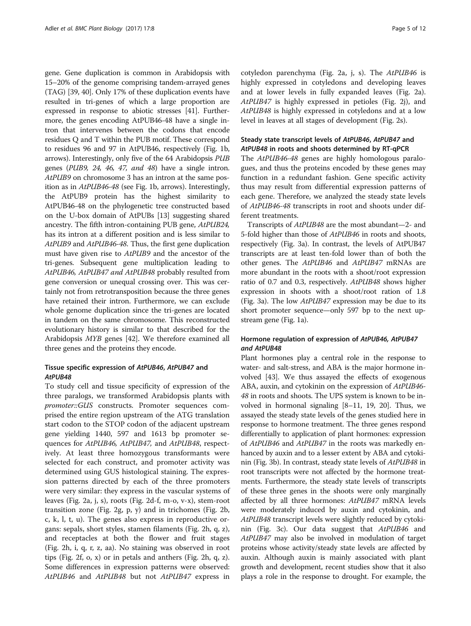gene. Gene duplication is common in Arabidopsis with 15–20% of the genome comprising tandem-arrayed genes (TAG) [[39](#page-11-0), [40\]](#page-11-0). Only 17% of these duplication events have resulted in tri-genes of which a large proportion are expressed in response to abiotic stresses [\[41\]](#page-11-0). Furthermore, the genes encoding AtPUB46-48 have a single intron that intervenes between the codons that encode residues Q and T within the PUB motif. These correspond to residues 96 and 97 in AtPUB46, respectively (Fig. [1b](#page-3-0), arrows). Interestingly, only five of the 64 Arabidopsis *PUB* genes (*PUB9, 24, 46, 47, and 48*) have a single intron. *AtPUB9* on chromosome 3 has an intron at the same position as in *AtPUB46-48* (see Fig. [1b,](#page-3-0) arrows). Interestingly, the AtPUB9 protein has the highest similarity to AtPUB46-48 on the phylogenetic tree constructed based on the U-box domain of AtPUBs [[13\]](#page-10-0) suggesting shared ancestry. The fifth intron-containing PUB gene, *AtPUB24,* has its intron at a different position and is less similar to *AtPUB9* and *AtPUB46-48*. Thus, the first gene duplication must have given rise to *AtPUB9* and the ancestor of the tri-genes. Subsequent gene multiplication leading to *AtPUB46, AtPUB47 and AtPUB48* probably resulted from gene conversion or unequal crossing over. This was certainly not from retrotransposition because the three genes have retained their intron. Furthermore, we can exclude whole genome duplication since the tri-genes are located in tandem on the same chromosome. This reconstructed evolutionary history is similar to that described for the Arabidopsis *MYB* genes [[42](#page-11-0)]. We therefore examined all three genes and the proteins they encode.

### Tissue specific expression of *AtPUB46*, *AtPUB47* and *AtPUB48*

To study cell and tissue specificity of expression of the three paralogs, we transformed Arabidopsis plants with *promoter::GUS* constructs. Promoter sequences comprised the entire region upstream of the ATG translation start codon to the STOP codon of the adjacent upstream gene yielding 1440, 597 and 1613 bp promoter sequences for *AtPUB46, AtPUB47,* and *AtPUB48*, respectively. At least three homozygous transformants were selected for each construct, and promoter activity was determined using GUS histological staining. The expression patterns directed by each of the three promoters were very similar: they express in the vascular systems of leaves (Fig. [2a](#page-5-0), [j](#page-5-0), [s](#page-5-0)), roots (Fig. [2d-f](#page-5-0), [m-o, v-x\)](#page-5-0), stem-root transition zone (Fig. [2g, p, y](#page-5-0)) and in trichomes (Fig. [2b](#page-5-0), [c](#page-5-0), [k](#page-5-0), [l, t](#page-5-0), [u\)](#page-5-0). The genes also express in reproductive organs: sepals, short styles, stamen filaments (Fig. [2h](#page-5-0), [q, z](#page-5-0)), and receptacles at both the flower and fruit stages (Fig. [2h](#page-5-0), [i, q, r, z, aa\)](#page-5-0). No staining was observed in root tips (Fig. [2f, o](#page-5-0), [x\)](#page-5-0) or in petals and anthers (Fig. [2h, q](#page-5-0), [z](#page-5-0)). Some differences in expression patterns were observed: *AtPUB46* and *AtPUB48* but not *AtPUB47* express in

cotyledon parenchyma (Fig. [2a](#page-5-0), [j](#page-5-0), [s](#page-5-0)). The *AtPUB46* is highly expressed in cotyledons and developing leaves and at lower levels in fully expanded leaves (Fig. [2a](#page-5-0)). *AtPUB47* is highly expressed in petioles (Fig. [2j](#page-5-0)), and *AtPUB48* is highly expressed in cotyledons and at a low level in leaves at all stages of development (Fig. [2s\)](#page-5-0).

### Steady state transcript levels of *AtPUB46*, *AtPUB47* and *AtPUB48* in roots and shoots determined by RT-qPCR

The *AtPUB46-48* genes are highly homologous paralogues, and thus the proteins encoded by these genes may function in a redundant fashion. Gene specific activity thus may result from differential expression patterns of each gene. Therefore, we analyzed the steady state levels of *AtPUB46-48* transcripts in root and shoots under different treatments.

Transcripts of *AtPUB48* are the most abundant—2- and 5-fold higher than those of *AtPUB46* in roots and shoots, respectively (Fig. [3a\)](#page-6-0). In contrast, the levels of AtPUB47 transcripts are at least ten-fold lower than of both the other genes. The *AtPUB46* and *AtPUB47* mRNAs are more abundant in the roots with a shoot/root expression ratio of 0.7 and 0.3, respectively. *AtPUB48* shows higher expression in shoots with a shoot/root ration of 1.8 (Fig. [3a](#page-6-0)). The low *AtPUB47* expression may be due to its short promoter sequence—only 597 bp to the next upstream gene (Fig. [1a\)](#page-3-0).

### Hormone regulation of expression of *AtPUB46, AtPUB47 and AtPUB48*

Plant hormones play a central role in the response to water- and salt-stress, and ABA is the major hormone involved [[43](#page-11-0)]. We thus assayed the effects of exogenous ABA, auxin, and cytokinin on the expression of *AtPUB46- 48* in roots and shoots. The UPS system is known to be involved in hormonal signaling [[8](#page-10-0)–[11](#page-10-0), [19, 20](#page-10-0)]. Thus, we assayed the steady state levels of the genes studied here in response to hormone treatment. The three genes respond differentially to application of plant hormones: expression of *AtPUB46* and *AtPUB47* in the roots was markedly enhanced by auxin and to a lesser extent by ABA and cytokinin (Fig. [3b](#page-6-0)). In contrast, steady state levels of *AtPUB48* in root transcripts were not affected by the hormone treatments. Furthermore, the steady state levels of transcripts of these three genes in the shoots were only marginally affected by all three hormones: *AtPUB47* mRNA levels were moderately induced by auxin and cytokinin, and *AtPUB48* transcript levels were slightly reduced by cytokinin (Fig. [3c\)](#page-6-0). Our data suggest that *AtPUB46* and *AtPUB47* may also be involved in modulation of target proteins whose activity/steady state levels are affected by auxin. Although auxin is mainly associated with plant growth and development, recent studies show that it also plays a role in the response to drought. For example, the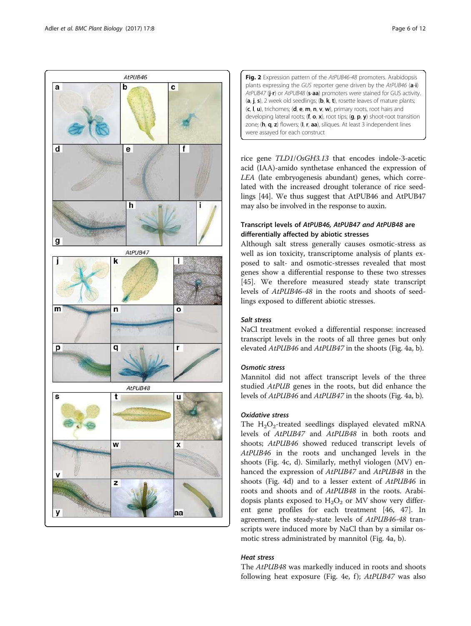<span id="page-5-0"></span>

Fig. 2 Expression pattern of the AtPUB46-48 promoters. Arabidopsis plants expressing the GUS reporter gene driven by the AtPUB46 (a-i) AtPUB47 (j-r) or AtPUB48 (s-aa) promoters were stained for GUS activity. (a, j, s), 2 week old seedlings; (b, k, t), rosette leaves of mature plants; (c, l, u), trichomes; (d, e, m, n, v, w), primary roots, root hairs and developing lateral roots;  $(f, o, x)$ , root tips;  $(g, p, y)$  shoot-root transition zone; (h, q, z) flowers; (l, r, aa), siliques. At least 3 independent lines were assayed for each construct

rice gene *TLD1*/*OsGH3.13* that encodes indole-3-acetic acid (IAA)-amido synthetase enhanced the expression of *LEA* (late embryogenesis abundant) genes, which correlated with the increased drought tolerance of rice seedlings [\[44\]](#page-11-0). We thus suggest that AtPUB46 and AtPUB47 may also be involved in the response to auxin.

# Transcript levels of *AtPUB46, AtPUB47 and AtPUB48* are differentially affected by abiotic stresses

Although salt stress generally causes osmotic-stress as well as ion toxicity, transcriptome analysis of plants exposed to salt- and osmotic-stresses revealed that most genes show a differential response to these two stresses [[45\]](#page-11-0). We therefore measured steady state transcript levels of *AtPUB46-48* in the roots and shoots of seedlings exposed to different abiotic stresses.

# *Salt stress*

NaCl treatment evoked a differential response: increased transcript levels in the roots of all three genes but only elevated *AtPUB46* and *AtPUB47* in the shoots (Fig. [4a](#page-6-0), [b\)](#page-6-0).

### *Osmotic stress*

Mannitol did not affect transcript levels of the three studied *AtPUB* genes in the roots, but did enhance the levels of *AtPUB46* and *AtPUB47* in the shoots (Fig. [4a, b\)](#page-6-0).

### *Oxidative stress*

The  $H_2O_2$ -treated seedlings displayed elevated mRNA levels of *AtPUB47* and *AtPUB48* in both roots and shoots; *AtPUB46* showed reduced transcript levels of *AtPUB46* in the roots and unchanged levels in the shoots (Fig. [4c](#page-6-0), [d](#page-6-0)). Similarly, methyl viologen (MV) enhanced the expression of *AtPUB47* and *AtPUB48* in the shoots (Fig. [4d](#page-6-0)) and to a lesser extent of *AtPUB46* in roots and shoots and of *AtPUB48* in the roots. Arabidopsis plants exposed to  $H_2O_2$  or MV show very different gene profiles for each treatment [\[46, 47\]](#page-11-0). In agreement, the steady-state levels of *AtPUB46-48* transcripts were induced more by NaCl than by a similar osmotic stress administrated by mannitol (Fig. [4a](#page-6-0), [b](#page-6-0)).

### *Heat stress*

The *AtPUB48* was markedly induced in roots and shoots following heat exposure (Fig. [4e, f](#page-6-0));  $AtPUB47$  was also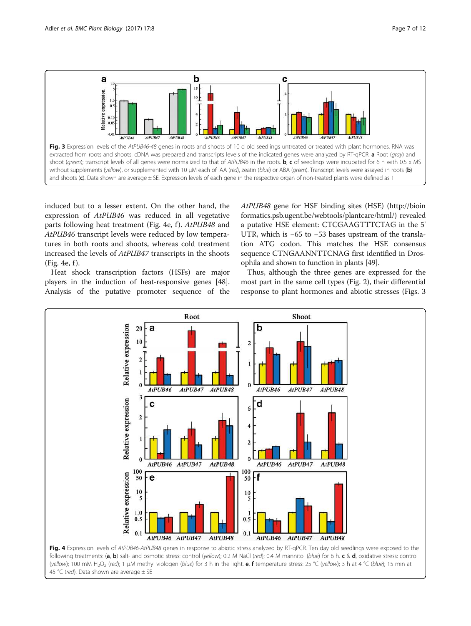<span id="page-6-0"></span>

induced but to a lesser extent. On the other hand, the expression of *AtPUB46* was reduced in all vegetative parts following heat treatment (Fig. 4e, f ). *AtPUB48* and *AtPUB46* transcript levels were reduced by low temperatures in both roots and shoots, whereas cold treatment increased the levels of *AtPUB47* transcripts in the shoots  $(Fig. 4e, f)$ .

Heat shock transcription factors (HSFs) are major players in the induction of heat-responsive genes [[48](#page-11-0)]. Analysis of the putative promoter sequence of the *AtPUB48* gene for HSF binding sites (HSE) ([http://bioin](http://bioinformatics.psb.ugent.be/webtools/plantcare/html/) [formatics.psb.ugent.be/webtools/plantcare/html/\)](http://bioinformatics.psb.ugent.be/webtools/plantcare/html/) revealed a putative HSE element: CTCGAAGTTTCTAG in the 5' UTR, which is −65 to −53 bases upstream of the translation ATG codon. This matches the HSE consensus sequence CTNGAANNTTCNAG first identified in Drosophila and shown to function in plants [\[49\]](#page-11-0).

Thus, although the three genes are expressed for the most part in the same cell types (Fig. [2](#page-5-0)), their differential response to plant hormones and abiotic stresses (Figs. 3



following treatments: (a, b) salt- and osmotic stress: control (yellow); 0.2 M NaCl (red); 0.4 M mannitol (blue) for 6 h. c & d, oxidative stress: control (yellow); 100 mM H<sub>2</sub>O<sub>2</sub> (red); 1 µM methyl viologen (blue) for 3 h in the light. **e, f** temperature stress: 25 °C (yellow); 3 h at 4 °C (blue); 15 min at 45 °C (red). Data shown are average  $\pm$  SE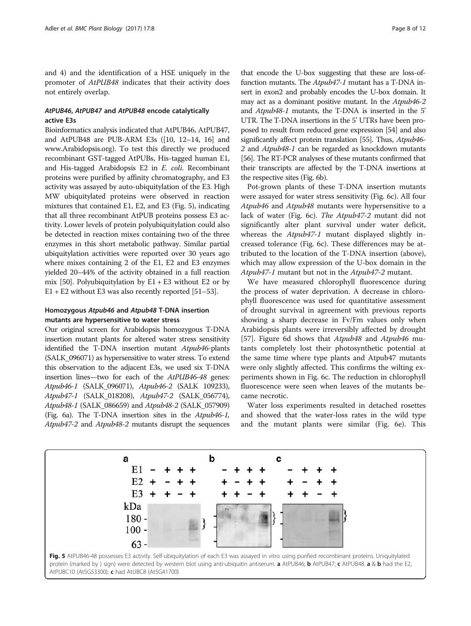and [4\)](#page-6-0) and the identification of a HSE uniquely in the promoter of *AtPUB48* indicates that their activity does not entirely overlap.

### *AtPUB46*, *AtPUB47* and *AtPUB48* encode catalytically active E3s

Bioinformatics analysis indicated that AtPUB46, AtPUB47, and AtPUB48 are PUB-ARM E3s ([[10](#page-10-0), [12](#page-10-0)–[14](#page-10-0), [16\]](#page-10-0) and [www.Arabidopsis.org\)](http://www.arabidopsis.org). To test this directly we produced recombinant GST-tagged AtPUBs, His-tagged human E1, and His-tagged Arabidopsis E2 in *E. coli*. Recombinant proteins were purified by affinity chromatography, and E3 activity was assayed by auto-ubiquitylation of the E3. High MW ubiquitylated proteins were observed in reaction mixtures that contained E1, E2, and E3 (Fig. 5), indicating that all three recombinant AtPUB proteins possess E3 activity. Lower levels of protein polyubiquitylation could also be detected in reaction mixes containing two of the three enzymes in this short metabolic pathway. Similar partial ubiquitylation activities were reported over 30 years ago where mixes containing 2 of the E1, E2 and E3 enzymes yielded 20–44% of the activity obtained in a full reaction mix [[50](#page-11-0)]. Polyubiquitylation by  $E1 + E3$  without E2 or by  $E1 + E2$  without E3 was also recently reported [[51](#page-11-0)–[53\]](#page-11-0).

### Homozygous *Atpub46* and *Atpub48* T-DNA insertion mutants are hypersensitive to water stress

Our original screen for Arabidopsis homozygous T-DNA insertion mutant plants for altered water stress sensitivity identified the T-DNA insertion mutant *Atpub46*-plants (SALK\_096071) as hypersensitive to water stress. To extend this observation to the adjacent E3s, we used six T-DNA insertion lines—two for each of the *AtPUB46-48* genes: *Atpub46-1* (SALK\_096071), *Atpub46-2* (SALK 109233), *Atpub47-1* (SALK\_018208), *Atpub47-2* (SALK\_056774), *Atpub48-1* (SALK\_086659) and *Atpub48-2* (SALK\_057909) (Fig. [6a\)](#page-8-0). The T-DNA insertion sites in the *Atpub46-1, Atpub47-2* and *Atpub48-2* mutants disrupt the sequences

that encode the U-box suggesting that these are loss-offunction mutants. The *Atpub47-1* mutant has a T-DNA insert in exon2 and probably encodes the U-box domain. It may act as a dominant positive mutant. In the *Atpub46-2* and *Atpub48-1* mutants, the T-DNA is inserted in the 5' UTR. The T-DNA insertions in the 5' UTRs have been proposed to result from reduced gene expression [[54](#page-11-0)] and also significantly affect protein translation [\[55](#page-11-0)]. Thus, *Atpub46- 2* and *Atpub48-1* can be regarded as knockdown mutants [[56](#page-11-0)]. The RT-PCR analyses of these mutants confirmed that their transcripts are affected by the T-DNA insertions at the respective sites (Fig. [6b](#page-8-0)).

Pot-grown plants of these T-DNA insertion mutants were assayed for water stress sensitivity (Fig. [6c\)](#page-8-0). All four *Atpub46* and *Atpub48* mutants were hypersensitive to a lack of water (Fig. [6c](#page-8-0)). *The Atpub47-2* mutant did not significantly alter plant survival under water deficit, whereas the *Atpub47-1* mutant displayed slightly increased tolerance (Fig. [6c](#page-8-0)). These differences may be attributed to the location of the T-DNA insertion (above), which may allow expression of the U-box domain in the *Atpub47-1* mutant but not in the *Atpub47-2* mutant.

We have measured chlorophyll fluorescence during the process of water deprivation. A decrease in chlorophyll fluorescence was used for quantitative assessment of drought survival in agreement with previous reports showing a sharp decrease in Fv/Fm values only when Arabidopsis plants were irreversibly affected by drought [[57\]](#page-11-0). Figure [6d](#page-8-0) shows that *Atpub48* and *Atpub46* mutants completely lost their photosynthetic potential at the same time where type plants and Atpub47 mutants were only slightly affected. This confirms the wilting experiments shown in Fig. [6c](#page-8-0). The reduction in chlorophyll fluorescence were seen when leaves of the mutants became necrotic.

Water loss experiments resulted in detached rosettes and showed that the water-loss rates in the wild type and the mutant plants were similar (Fig. [6e](#page-8-0)). This

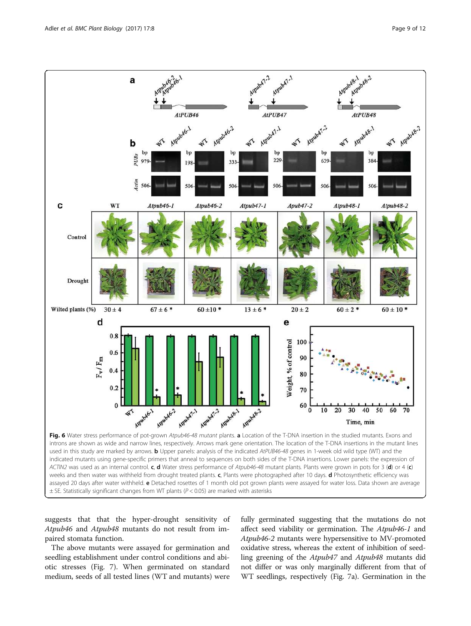<span id="page-8-0"></span>

ACTIN2 was used as an internal control. c, d Water stress performance of Atpub46-48 mutant plants. Plants were grown in pots for 3 (d) or 4 (c) weeks and then water was withheld from drought treated plants. c, Plants were photographed after 10 days. d Photosynthetic efficiency was assayed 20 days after water withheld. e Detached rosettes of 1 month old pot grown plants were assayed for water loss. Data shown are average  $\pm$  SE. Statistically significant changes from WT plants ( $P$  < 0.05) are marked with asterisks

suggests that that the hyper-drought sensitivity of *Atpub46* and *Atpub48* mutants do not result from impaired stomata function.

The above mutants were assayed for germination and seedling establishment under control conditions and abiotic stresses (Fig. [7\)](#page-9-0). When germinated on standard medium, seeds of all tested lines (WT and mutants) were

fully germinated suggesting that the mutations do not affect seed viability or germination. The *Atpub46-1* and *Atpub46-2* mutants were hypersensitive to MV-promoted oxidative stress, whereas the extent of inhibition of seedling greening of the *Atpub47* and *Atpub48* mutants did not differ or was only marginally different from that of WT seedlings, respectively (Fig. [7a\)](#page-9-0). Germination in the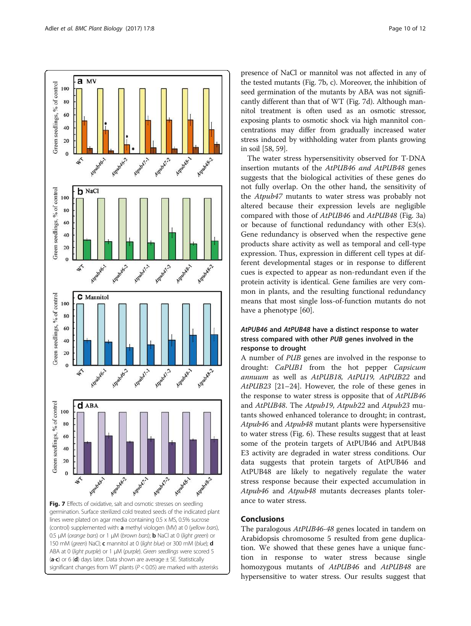<span id="page-9-0"></span>

(control) supplemented with: a methyl viologen (MV) at 0 (yellow bars), 0.5 μM (orange bars) or 1 μM (brown bars); **b** NaCl at 0 (light green) or 150 mM (green) NaCl; c mannitol at 0 (light blue) or 300 mM (blue); d ABA at 0 (light purple) or 1 μM (purple). Green seedlings were scored 5  $(a-c)$  or 6 (d) days later. Data shown are average  $\pm$  SE. Statistically significant changes from WT plants ( $P < 0.05$ ) are marked with asterisks

presence of NaCl or mannitol was not affected in any of the tested mutants (Fig. 7b, c). Moreover, the inhibition of seed germination of the mutants by ABA was not significantly different than that of WT (Fig. 7d). Although mannitol treatment is often used as an osmotic stressor, exposing plants to osmotic shock via high mannitol concentrations may differ from gradually increased water stress induced by withholding water from plants growing in soil [[58](#page-11-0), [59\]](#page-11-0).

The water stress hypersensitivity observed for T-DNA insertion mutants of the *AtPUB46 and AtPUB48* genes suggests that the biological activities of these genes do not fully overlap. On the other hand, the sensitivity of the *Atpub47* mutants to water stress was probably not altered because their expression levels are negligible compared with those of *AtPUB46* and *AtPUB48* (Fig. [3a](#page-6-0)) or because of functional redundancy with other E3(s). Gene redundancy is observed when the respective gene products share activity as well as temporal and cell-type expression. Thus, expression in different cell types at different developmental stages or in response to different cues is expected to appear as non-redundant even if the protein activity is identical. Gene families are very common in plants, and the resulting functional redundancy means that most single loss-of-function mutants do not have a phenotype [\[60](#page-11-0)].

# *AtPUB46* and *AtPUB48* have a distinct response to water stress compared with other *PUB* genes involved in the response to drought

A number of *PUB* genes are involved in the response to drought: *CaPUB1* from the hot pepper *Capsicum annuum* as well as *AtPUB18, AtPU19, AtPUB22* and *AtPUB23* [[21](#page-10-0)–[24](#page-10-0)]. However, the role of these genes in the response to water stress is opposite that of *AtPUB46* and *AtPUB48*. The *Atpub19*, *Atpub22* and *Atpub23* mutants showed enhanced tolerance to drought; in contrast, *Atpub46* and *Atpub48* mutant plants were hypersensitive to water stress (Fig. [6\)](#page-8-0). These results suggest that at least some of the protein targets of AtPUB46 and AtPUB48 E3 activity are degraded in water stress conditions. Our data suggests that protein targets of AtPUB46 and AtPUB48 are likely to negatively regulate the water stress response because their expected accumulation in *Atpub46* and *Atpub48* mutants decreases plants tolerance to water stress.

### Conclusions

The paralogous *AtPUB46-48* genes located in tandem on Arabidopsis chromosome 5 resulted from gene duplication. We showed that these genes have a unique function in response to water stress because single homozygous mutants of *AtPUB46* and *AtPUB48* are hypersensitive to water stress. Our results suggest that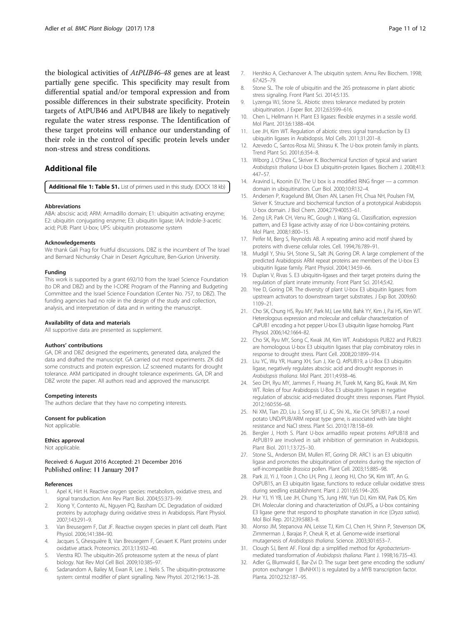<span id="page-10-0"></span>the biological activities of *AtPUB46-48* genes are at least partially gene specific. This specificity may result from differential spatial and/or temporal expression and from possible differences in their substrate specificity. Protein targets of AtPUB46 and AtPUB48 are likely to negatively regulate the water stress response. The Identification of these target proteins will enhance our understanding of their role in the control of specific protein levels under non-stress and stress conditions.

### Additional file

[Additional file 1: Table S1.](dx.doi.org/10.1186/s12870-016-0963-5) List of primers used in this study. (DOCX 18 kb)

#### Abbreviations

ABA: abscisic acid; ARM: Armadillo domain; E1: ubiquitin activating enzyme; E2: ubiquitin conjugating enzyme; E3: ubiquitin ligase; IAA: Indole-3-acetic acid; PUB: Plant U-box; UPS: ubiquitin proteasome system

#### Acknowledgements

We thank Gali Prag for fruitful discussions. DBZ is the incumbent of The Israel and Bernard Nichunsky Chair in Desert Agriculture, Ben-Gurion University.

#### Funding

This work is supported by a grant 692/10 from the Israel Science Foundation (to DR and DBZ) and by the I-CORE Program of the Planning and Budgeting Committee and the Israel Science Foundation (Center No. 757, to DBZ). The funding agencies had no role in the design of the study and collection, analysis, and interpretation of data and in writing the manuscript.

#### Availability of data and materials

All supportive data are presented as supplement.

#### Authors' contributions

GA, DR and DBZ designed the experiments, generated data, analyzed the data and drafted the manuscript. GA carried out most experiments. ZK did some constructs and protein expression. LZ screened mutants for drought tolerance. AKM participated in drought tolerance experiments. GA, DR and DBZ wrote the paper. All authors read and approved the manuscript.

#### Competing interests

The authors declare that they have no competing interests.

#### Consent for publication

Not applicable.

### Ethics approval

Not applicable.

Received: 6 August 2016 Accepted: 21 December 2016 Published online: 11 January 2017

#### References

- Apel K, Hirt H. Reactive oxygen species: metabolism, oxidative stress, and signal transduction. Ann Rev Plant Biol. 2004;55:373–99.
- 2. Xiong Y, Contento AL, Nguyen PQ, Bassham DC. Degradation of oxidized proteins by autophagy during oxidative stress in Arabidopsis. Plant Physiol. 2007;143:291–9.
- 3. Van Breusegem F, Dat JF. Reactive oxygen species in plant cell death. Plant Physiol. 2006;141:384–90.
- 4. Jacques S, Ghesquière B, Van Breusegem F, Gevaert K. Plant proteins under oxidative attack. Proteomics. 2013;13:932–40.
- 5. Vierstra RD. The ubiquitin-26S proteasome system at the nexus of plant biology. Nat Rev Mol Cell Biol. 2009;10:385–97.
- 6. Sadanandom A, Bailey M, Ewan R, Lee J, Nelis S. The ubiquitin-proteasome system: central modifier of plant signalling. New Phytol. 2012;196:13–28.
- 7. Hershko A, Ciechanover A. The ubiquitin system. Annu Rev Biochem. 1998; 67:425–79.
- 8. Stone SL. The role of ubiquitin and the 26S proteasome in plant abiotic stress signaling. Front Plant Sci. 2014;5:135.
- 9. Lyzenga WJ, Stone SL. Abiotic stress tolerance mediated by protein ubiquitination. J Exper Bot. 2012;63:599–616.
- 10. Chen L, Hellmann H. Plant E3 ligases: flexible enzymes in a sessile world. Mol Plant. 2013;6:1388–404.
- 11. Lee JH, Kim WT, Regulation of abiotic stress signal transduction by E3 ubiquitin ligases in Arabidopsis. Mol Cells. 2011;31:201–8.
- 12. Azevedo C, Santos-Rosa MJ, Shirasu K. The U-box protein family in plants. Trend Plant Sci. 2001;6:354–8.
- 13. Wiborg J, O'Shea C, Skriver K. Biochemical function of typical and variant Arabidopsis thaliana U-box E3 ubiquitin-protein ligases. Biochem J. 2008;413: 447–57.
- 14. Aravind L, Koonin EV. The U box is a modified RING finger a common domain in ubiquitination. Curr Biol. 2000;10:R132–4.
- 15. Andersen P, Kragelund BM, Olsen AN, Larsen FH, Chua NH, Poulsen FM, Skriver K. Structure and biochemical function of a prototypical Arabidopsis U-box domain. J Biol Chem. 2004;279:40053–61.
- 16. Zeng LR, Park CH, Venu RC, Gough J, Wang GL. Classification, expression pattern, and E3 ligase activity assay of rice U-box-containing proteins. Mol Plant. 2008;1:800–15.
- 17. Peifer M, Berg S, Reynolds AB. A repeating amino acid motif shared by proteins with diverse cellular roles. Cell. 1994;76:789–91.
- 18. Mudgil Y, Shiu SH, Stone SL, Salt JN, Goring DR. A large complement of the predicted Arabidopsis ARM repeat proteins are members of the U-box E3 ubiquitin ligase family. Plant Physiol. 2004;134:59–66.
- 19. Duplan V, Rivas S. E3 ubiquitin-ligases and their target proteins during the regulation of plant innate immunity. Front Plant Sci. 2014;5:42.
- 20. Yee D, Goring DR. The diversity of plant U-box E3 ubiquitin ligases: from upstream activators to downstream target substrates. J Exp Bot. 2009;60: 1109–21.
- 21. Cho SK, Chung HS, Ryu MY, Park MJ, Lee MM, Bahk YY, Kim J, Pai HS, Kim WT. Heterologous expression and molecular and cellular characterization of CaPUB1 encoding a hot pepper U-box E3 ubiquitin ligase homolog. Plant Physiol. 2006;142:1664–82.
- 22. Cho SK, Ryu MY, Song C, Kwak JM, Kim WT. Arabidopsis PUB22 and PUB23 are homologous U-box E3 ubiquitin ligases that play combinatory roles in response to drought stress. Plant Cell. 2008;20:1899–914.
- 23. Liu YC, Wu YR, Huang XH, Sun J, Xie Q. AtPUB19, a U-Box E3 ubiquitin ligase, negatively regulates abscisic acid and drought responses in Arabidopsis thaliana. Mol Plant. 2011;4:938–46.
- 24. Seo DH, Ryu MY, Jammes F, Hwang JH, Turek M, Kang BG, Kwak JM, Kim WT. Roles of four Arabidopsis U-Box E3 ubiquitin ligases in negative regulation of abscisic acid-mediated drought stress responses. Plant Physiol. 2012;160:556–68.
- 25. Ni XM, Tian ZD, Liu J, Song BT, Li JC, Shi XL, Xie CH. StPUB17, a novel potato UND/PUB/ARM repeat type gene, is associated with late blight resistance and NaCl stress. Plant Sci. 2010;178:158–69.
- 26. Bergler J, Hoth S. Plant U-box armadillo repeat proteins AtPUB18 and AtPUB19 are involved in salt inhibition of germination in Arabidopsis. Plant Biol. 2011;13:725–30.
- 27. Stone SL, Anderson EM, Mullen RT, Goring DR. ARC1 is an E3 ubiquitin ligase and promotes the ubiquitination of proteins during the rejection of self-incompatible Brassica pollen. Plant Cell. 2003;15:885-98.
- 28. Park JJ, Yi J, Yoon J, Cho LH, Ping J, Jeong HJ, Cho SK, Kim WT, An G. OsPUB15, an E3 ubiquitin ligase, functions to reduce cellular oxidative stress during seedling establishment. Plant J. 2011;65:194–205.
- 29. Hur YJ, Yi YB, Lee JH, Chung YS, Jung HW, Yun DJ, Kim KM, Park DS, Kim DH. Molecular cloning and characterization of OsUPS, a U-box containing E3 ligase gene that respond to phosphate starvation in rice (Oryza sativa). Mol Biol Rep. 2012;39:5883–8.
- 30. Alonso JM, Stepanova AN, Leisse TJ, Kim CJ, Chen H, Shinn P, Stevenson DK, Zimmerman J, Barajas P, Cheuk R, et al. Genome-wide insertional mutagenesis of Arabidopsis thaliana. Science. 2003;301:653–7.
- 31. Clough SJ, Bent AF. Floral dip: a simplified method for Agrobacteriummediated transformation of Arabidopsis thaliana. Plant J. 1998;16:735–43.
- 32. Adler G, Blumwald E, Bar-Zvi D. The sugar beet gene encoding the sodium/ proton exchanger 1 (BvNHX1) is regulated by a MYB transcription factor. Planta. 2010;232:187–95.